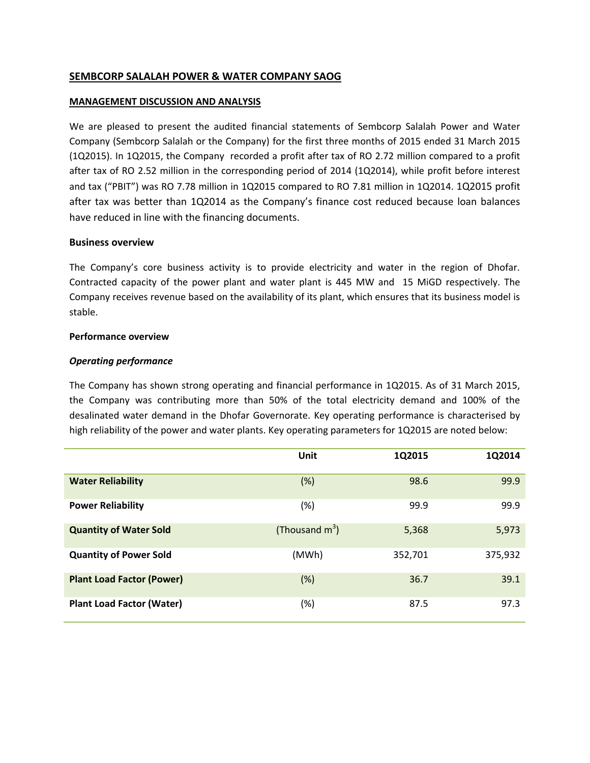# **SEMBCORP SALALAH POWER & WATER COMPANY SAOG**

### **MANAGEMENT DISCUSSION AND ANALYSIS**

We are pleased to present the audited financial statements of Sembcorp Salalah Power and Water Company (Sembcorp Salalah or the Company) for the first three months of 2015 ended 31 March 2015 (1Q2015). In 1Q2015, the Company recorded a profit after tax of RO 2.72 million compared to a profit after tax of RO 2.52 million in the corresponding period of 2014 (1Q2014), while profit before interest and tax ("PBIT") was RO 7.78 million in 1Q2015 compared to RO 7.81 million in 1Q2014. 1Q2015 profit after tax was better than 1Q2014 as the Company's finance cost reduced because loan balances have reduced in line with the financing documents.

### **Business overview**

The Company's core business activity is to provide electricity and water in the region of Dhofar. Contracted capacity of the power plant and water plant is 445 MW and 15 MiGD respectively. The Company receives revenue based on the availability of its plant, which ensures that its business model is stable.

### **Performance overview**

### *Operating performance*

The Company has shown strong operating and financial performance in 1Q2015. As of 31 March 2015, the Company was contributing more than 50% of the total electricity demand and 100% of the desalinated water demand in the Dhofar Governorate. Key operating performance is characterised by high reliability of the power and water plants. Key operating parameters for 1Q2015 are noted below:

|                                  | Unit              | 1Q2015  | 1Q2014  |
|----------------------------------|-------------------|---------|---------|
| <b>Water Reliability</b>         | (%)               | 98.6    | 99.9    |
| <b>Power Reliability</b>         | (%)               | 99.9    | 99.9    |
| <b>Quantity of Water Sold</b>    | (Thousand $m^3$ ) | 5,368   | 5,973   |
| <b>Quantity of Power Sold</b>    | (MWh)             | 352,701 | 375,932 |
| <b>Plant Load Factor (Power)</b> | $(\%)$            | 36.7    | 39.1    |
| <b>Plant Load Factor (Water)</b> | (%)               | 87.5    | 97.3    |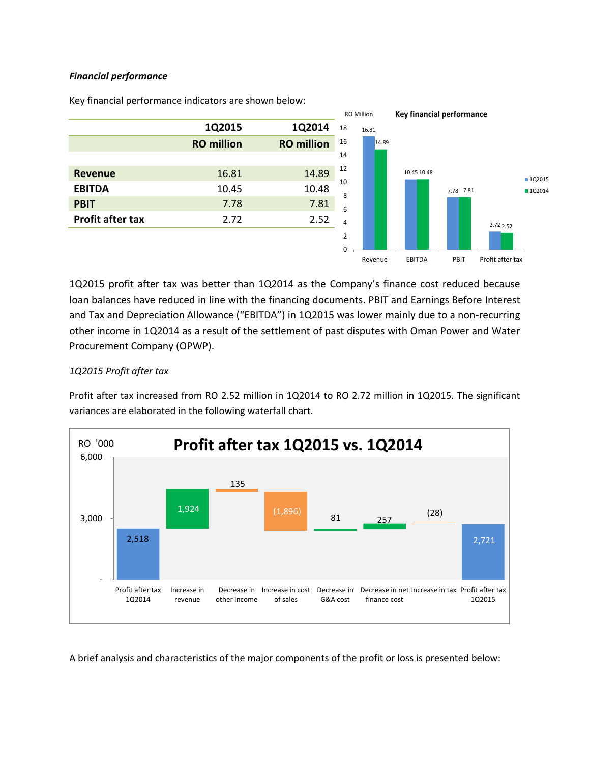### *Financial performance*



Key financial performance indicators are shown below:

1Q2015 profit after tax was better than 1Q2014 as the Company's finance cost reduced because loan balances have reduced in line with the financing documents. PBIT and Earnings Before Interest and Tax and Depreciation Allowance ("EBITDA") in 1Q2015 was lower mainly due to a non-recurring other income in 1Q2014 as a result of the settlement of past disputes with Oman Power and Water Procurement Company (OPWP).

# *1Q2015 Profit after tax*

Profit after tax increased from RO 2.52 million in 1Q2014 to RO 2.72 million in 1Q2015. The significant variances are elaborated in the following waterfall chart.



A brief analysis and characteristics of the major components of the profit or loss is presented below: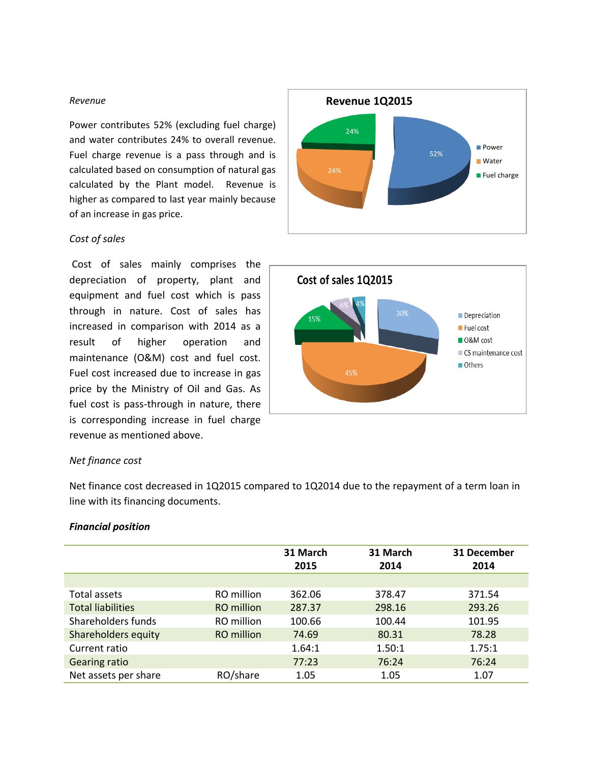#### *Revenue*

Power contributes 52% (excluding fuel charge) and water contributes 24% to overall revenue. Fuel charge revenue is a pass through and is calculated based on consumption of natural gas calculated by the Plant model. Revenue is higher as compared to last year mainly because of an increase in gas price.

### *Cost of sales*

Cost of sales mainly comprises the depreciation of property, plant and equipment and fuel cost which is pass through in nature. Cost of sales has increased in comparison with 2014 as a result of higher operation and maintenance (O&M) cost and fuel cost. Fuel cost increased due to increase in gas price by the Ministry of Oil and Gas. As fuel cost is pass-through in nature, there is corresponding increase in fuel charge revenue as mentioned above.





### *Net finance cost*

Net finance cost decreased in 1Q2015 compared to 1Q2014 due to the repayment of a term loan in line with its financing documents.

#### *Financial position*

|                          |            | 31 March<br>2015 | 31 March<br>2014 | 31 December<br>2014 |
|--------------------------|------------|------------------|------------------|---------------------|
| Total assets             | RO million | 362.06           | 378.47           | 371.54              |
| <b>Total liabilities</b> | RO million | 287.37           | 298.16           | 293.26              |
| Shareholders funds       | RO million | 100.66           | 100.44           | 101.95              |
| Shareholders equity      | RO million | 74.69            | 80.31            | 78.28               |
| Current ratio            |            | 1.64:1           | 1.50:1           | 1.75:1              |
| <b>Gearing ratio</b>     |            | 77:23            | 76:24            | 76:24               |
| Net assets per share     | RO/share   | 1.05             | 1.05             | 1.07                |